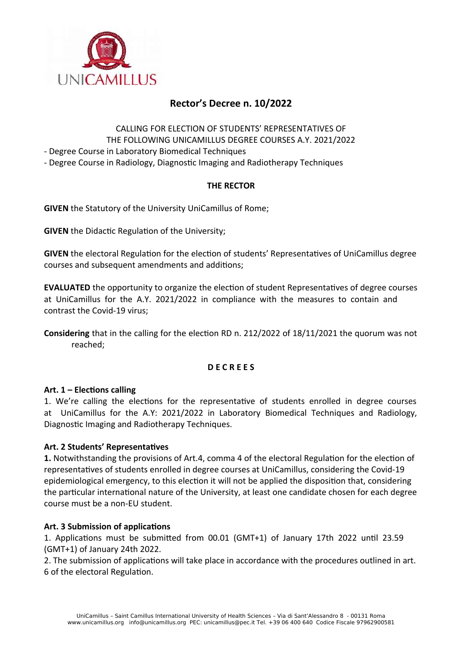

# **Rector's Decree n. 10/2022**

CALLING FOR ELECTION OF STUDENTS' REPRESENTATIVES OF THE FOLLOWING UNICAMILLUS DEGREE COURSES A.Y. 2021/2022

- Degree Course in Laboratory Biomedical Techniques

- Degree Course in Radiology, Diagnostic Imaging and Radiotherapy Techniques

# **THE RECTOR**

**GIVEN** the Statutory of the University UniCamillus of Rome;

**GIVEN** the Didactic Regulation of the University;

**GIVEN** the electoral Regulation for the election of students' Representatives of UniCamillus degree courses and subsequent amendments and additions;

**EVALUATED** the opportunity to organize the election of student Representatives of degree courses at UniCamillus for the A.Y. 2021/2022 in compliance with the measures to contain and contrast the Covid-19 virus;

**Considering** that in the calling for the election RD n. 212/2022 of 18/11/2021 the quorum was not reached;

### **D E C R E E S**

### **Art. 1 – Elections calling**

1. We're calling the elections for the representative of students enrolled in degree courses at UniCamillus for the A.Y: 2021/2022 in Laboratory Biomedical Techniques and Radiology, Diagnostic Imaging and Radiotherapy Techniques.

### **Art. 2 Students' Representatives**

**1.** Notwithstanding the provisions of Art.4, comma 4 of the electoral Regulation for the election of representatives of students enrolled in degree courses at UniCamillus, considering the Covid-19 epidemiological emergency, to this election it will not be applied the disposition that, considering the particular international nature of the University, at least one candidate chosen for each degree course must be a non-EU student.

### **Art. 3 Submission of applications**

1. Applications must be submitted from 00.01 (GMT+1) of January 17th 2022 until 23.59 (GMT+1) of January 24th 2022.

2. The submission of applications will take place in accordance with the procedures outlined in art. 6 of the electoral Regulation.